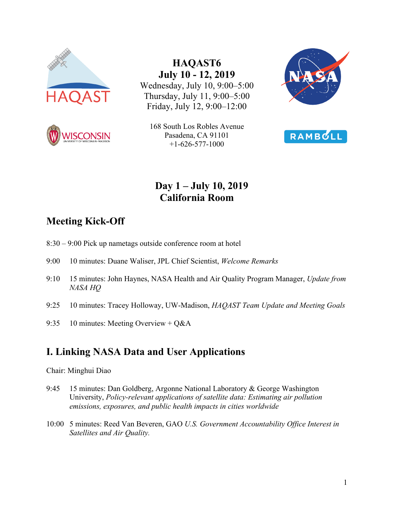



**HAQAST6 July 10 - 12, 2019** Wednesday, July 10, 9:00–5:00 Thursday, July 11, 9:00–5:00 Friday, July 12, 9:00–12:00







# **Day 1 – July 10, 2019 California Room**

# **Meeting Kick-Off**

- 8:30 9:00 Pick up nametags outside conference room at hotel
- 9:00 10 minutes: Duane Waliser, JPL Chief Scientist, *Welcome Remarks*
- 9:10 15 minutes: John Haynes, NASA Health and Air Quality Program Manager, *Update from NASA HQ*
- 9:25 10 minutes: Tracey Holloway, UW-Madison, *HAQAST Team Update and Meeting Goals*
- 9:35 10 minutes: Meeting Overview + Q&A

# **I. Linking NASA Data and User Applications**

### Chair: Minghui Diao

- 9:45 15 minutes: Dan Goldberg, Argonne National Laboratory & George Washington University, *Policy-relevant applications of satellite data: Estimating air pollution emissions, exposures, and public health impacts in cities worldwide*
- 10:00 5 minutes: Reed Van Beveren, GAO *U.S. Government Accountability Office Interest in Satellites and Air Quality.*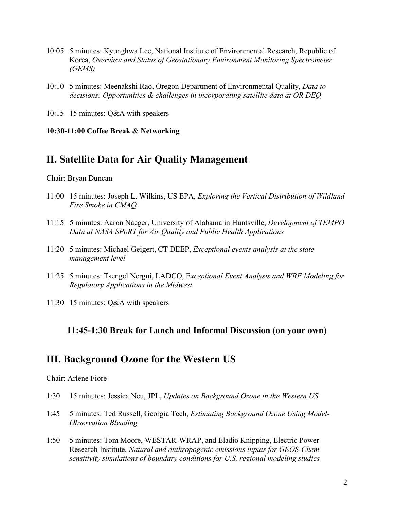- 10:05 5 minutes: Kyunghwa Lee, National Institute of Environmental Research, Republic of Korea, *Overview and Status of Geostationary Environment Monitoring Spectrometer (GEMS)*
- 10:10 5 minutes: Meenakshi Rao, Oregon Department of Environmental Quality, *Data to decisions: Opportunities & challenges in incorporating satellite data at OR DEQ*
- 10:15 15 minutes: Q&A with speakers

**10:30-11:00 Coffee Break & Networking**

## **II. Satellite Data for Air Quality Management**

Chair: Bryan Duncan

- 11:00 15 minutes: Joseph L. Wilkins, US EPA, *Exploring the Vertical Distribution of Wildland Fire Smoke in CMAQ*
- 11:15 5 minutes: Aaron Naeger, University of Alabama in Huntsville, *Development of TEMPO Data at NASA SPoRT for Air Quality and Public Health Applications*
- 11:20 5 minutes: Michael Geigert, CT DEEP, *Exceptional events analysis at the state management level*
- 11:25 5 minutes: Tsengel Nergui, LADCO, E*xceptional Event Analysis and WRF Modeling for Regulatory Applications in the Midwest*
- 11:30 15 minutes: Q&A with speakers

### **11:45-1:30 Break for Lunch and Informal Discussion (on your own)**

### **III. Background Ozone for the Western US**

Chair: Arlene Fiore

- 1:30 15 minutes: Jessica Neu, JPL, *Updates on Background Ozone in the Western US*
- 1:45 5 minutes: Ted Russell, Georgia Tech, *Estimating Background Ozone Using Model-Observation Blending*
- 1:50 5 minutes: Tom Moore, WESTAR-WRAP, and Eladio Knipping, Electric Power Research Institute, *Natural and anthropogenic emissions inputs for GEOS-Chem sensitivity simulations of boundary conditions for U.S. regional modeling studies*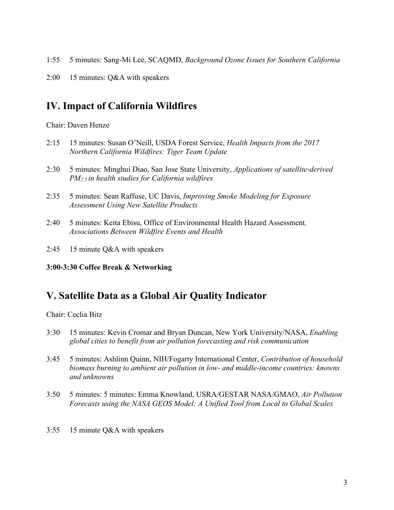- 1:55 5 minutes: Sang-Mi Lee, SCAQMD, *Background Ozone Issues for Southern California*
- 2:00 15 minutes: Q&A with speakers

## **IV. Impact of California Wildfires**

Chair: Daven Henze

- 2:15 15 minutes: Susan O'Neill, USDA Forest Service, *Health Impacts from the 2017 Northern California Wildfires: Tiger Team Update*
- 2:30 5 minutes: Minghui Diao, San Jose State University, *Applications of satellite-derived PM2.5 in health studies for California wildfires*
- 2:35 5 minutes: Sean Raffuse, UC Davis, *Improving Smoke Modeling for Exposure Assessment Using New Satellite Products*
- 2:40 5 minutes: Keita Ebisu, Office of Environmental Health Hazard Assessment*, Associations Between Wildfire Events and Health*
- 2:45 15 minute Q&A with speakers
- **3:00-3:30 Coffee Break & Networking**

## **V. Satellite Data as a Global Air Quality Indicator**

Chair: Ceclia Bitz

- 3:30 15 minutes: Kevin Cromar and Bryan Duncan, New York University/NASA, *Enabling global cities to benefit from air pollution forecasting and risk communication*
- 3:45 5 minutes: Ashlinn Quinn, NIH/Fogarty International Center, *Contribution of household biomass burning to ambient air pollution in low- and middle-income countries: knowns and unknowns*
- 3:50 5 minutes: 5 minutes: Emma Knowland, USRA/GESTAR NASA/GMAO, *Air Pollution Forecasts using the NASA GEOS Model: A Unified Tool from Local to Global Scales*
- 3:55 15 minute Q&A with speakers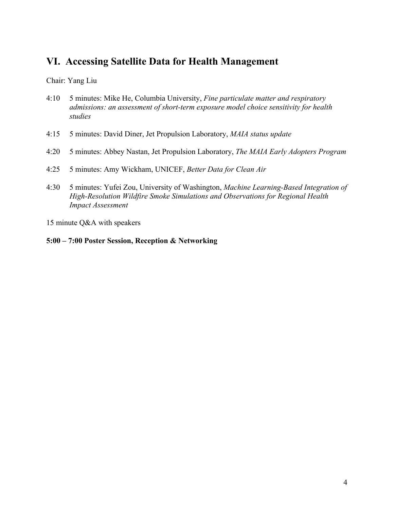## **VI. Accessing Satellite Data for Health Management**

Chair: Yang Liu

- 4:10 5 minutes: Mike He, Columbia University, *Fine particulate matter and respiratory admissions: an assessment of short-term exposure model choice sensitivity for health studies*
- 4:15 5 minutes: David Diner, Jet Propulsion Laboratory, *MAIA status update*
- 4:20 5 minutes: Abbey Nastan, Jet Propulsion Laboratory, *The MAIA Early Adopters Program*
- 4:25 5 minutes: Amy Wickham, UNICEF, *Better Data for Clean Air*
- 4:30 5 minutes: Yufei Zou, University of Washington, *Machine Learning-Based Integration of High-Resolution Wildfire Smoke Simulations and Observations for Regional Health Impact Assessment*

15 minute Q&A with speakers

### **5:00 – 7:00 Poster Session, Reception & Networking**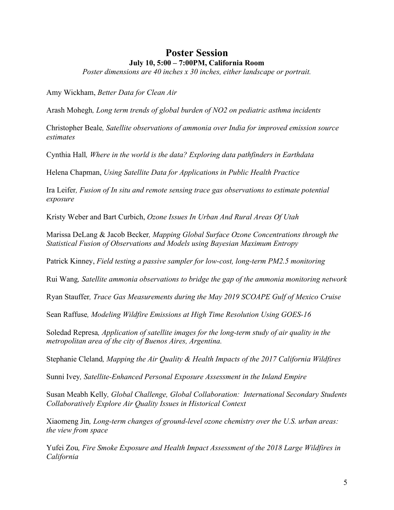### **Poster Session July 10, 5:00 – 7:00PM, California Room**

*Poster dimensions are 40 inches x 30 inches, either landscape or portrait.* 

Amy Wickham, *Better Data for Clean Air*

Arash Mohegh*, Long term trends of global burden of NO2 on pediatric asthma incidents*

Christopher Beale*, Satellite observations of ammonia over India for improved emission source estimates*

Cynthia Hall*, Where in the world is the data? Exploring data pathfinders in Earthdata*

Helena Chapman, *Using Satellite Data for Applications in Public Health Practice*

Ira Leifer*, Fusion of In situ and remote sensing trace gas observations to estimate potential exposure*

Kristy Weber and Bart Curbich, *Ozone Issues In Urban And Rural Areas Of Utah*

Marissa DeLang & Jacob Becker*, Mapping Global Surface Ozone Concentrations through the Statistical Fusion of Observations and Models using Bayesian Maximum Entropy*

Patrick Kinney, *Field testing a passive sampler for low-cost, long-term PM2.5 monitoring*

Rui Wang*, Satellite ammonia observations to bridge the gap of the ammonia monitoring network*

Ryan Stauffer*, Trace Gas Measurements during the May 2019 SCOAPE Gulf of Mexico Cruise*

Sean Raffuse*, Modeling Wildfire Emissions at High Time Resolution Using GOES-16*

Soledad Represa*, Application of satellite images for the long-term study of air quality in the metropolitan area of the city of Buenos Aires, Argentina.* 

Stephanie Cleland*, Mapping the Air Quality & Health Impacts of the 2017 California Wildfires*

Sunni Ivey*, Satellite-Enhanced Personal Exposure Assessment in the Inland Empire*

Susan Meabh Kelly*, Global Challenge, Global Collaboration: International Secondary Students Collaboratively Explore Air Quality Issues in Historical Context*

Xiaomeng Jin*, Long-term changes of ground-level ozone chemistry over the U.S. urban areas: the view from space*

Yufei Zou*, Fire Smoke Exposure and Health Impact Assessment of the 2018 Large Wildfires in California*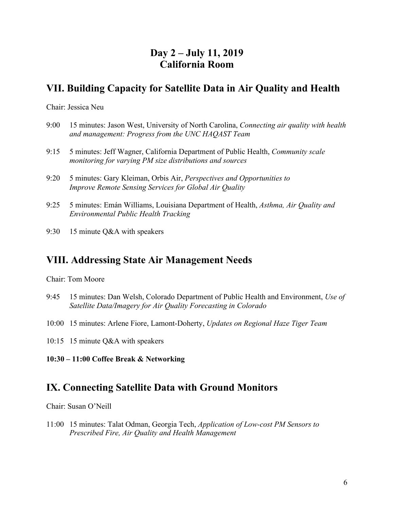## **Day 2 – July 11, 2019 California Room**

## **VII. Building Capacity for Satellite Data in Air Quality and Health**

Chair: Jessica Neu

- 9:00 15 minutes: Jason West, University of North Carolina, *Connecting air quality with health and management: Progress from the UNC HAQAST Team*
- 9:15 5 minutes: Jeff Wagner, California Department of Public Health, *Community scale monitoring for varying PM size distributions and sources*
- 9:20 5 minutes: Gary Kleiman, Orbis Air, *Perspectives and Opportunities to Improve Remote Sensing Services for Global Air Quality*
- 9:25 5 minutes: Emán Williams, Louisiana Department of Health, *Asthma, Air Quality and Environmental Public Health Tracking*
- 9:30 15 minute Q&A with speakers

## **VIII. Addressing State Air Management Needs**

Chair: Tom Moore

- 9:45 15 minutes: Dan Welsh, Colorado Department of Public Health and Environment, *Use of Satellite Data/Imagery for Air Quality Forecasting in Colorado*
- 10:00 15 minutes: Arlene Fiore, Lamont-Doherty, *Updates on Regional Haze Tiger Team*
- 10:15 15 minute Q&A with speakers
- **10:30 – 11:00 Coffee Break & Networking**

## **IX. Connecting Satellite Data with Ground Monitors**

Chair: Susan O'Neill

11:00 15 minutes: Talat Odman, Georgia Tech, *Application of Low-cost PM Sensors to Prescribed Fire, Air Quality and Health Management*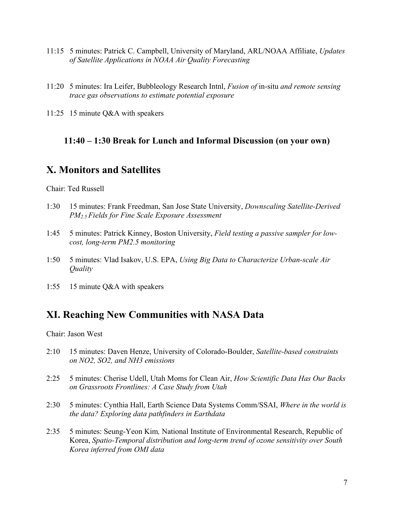- 11:15 5 minutes: Patrick C. Campbell, University of Maryland, ARL/NOAA Affiliate, *Updates of Satellite Applications in NOAA Air Quality Forecasting*
- 11:20 5 minutes: Ira Leifer, Bubbleology Research Intnl, *Fusion of* in-situ *and remote sensing trace gas observations to estimate potential exposure*
- 11:25 15 minute Q&A with speakers

### **11:40 – 1:30 Break for Lunch and Informal Discussion (on your own)**

## **X. Monitors and Satellites**

Chair: Ted Russell

- 1:30 15 minutes: Frank Freedman, San Jose State University, *Downscaling Satellite-Derived PM2.5 Fields for Fine Scale Exposure Assessment*
- 1:45 5 minutes: Patrick Kinney, Boston University, *Field testing a passive sampler for lowcost, long-term PM2.5 monitoring*
- 1:50 5 minutes: Vlad Isakov, U.S. EPA, *Using Big Data to Characterize Urban-scale Air Quality*
- 1:55 15 minute Q&A with speakers

# **XI. Reaching New Communities with NASA Data**

Chair: Jason West

- 2:10 15 minutes: Daven Henze, University of Colorado-Boulder, *Satellite-based constraints on NO2, SO2, and NH3 emissions*
- 2:25 5 minutes: Cherise Udell, Utah Moms for Clean Air, *How Scientific Data Has Our Backs on Grassroots Frontlines: A Case Study from Utah*
- 2:30 5 minutes: Cynthia Hall, Earth Science Data Systems Comm/SSAI, *Where in the world is the data? Exploring data pathfinders in Earthdata*
- 2:35 5 minutes: Seung-Yeon Kim*,* National Institute of Environmental Research, Republic of Korea, *Spatio-Temporal distribution and long-term trend of ozone sensitivity over South Korea inferred from OMI data*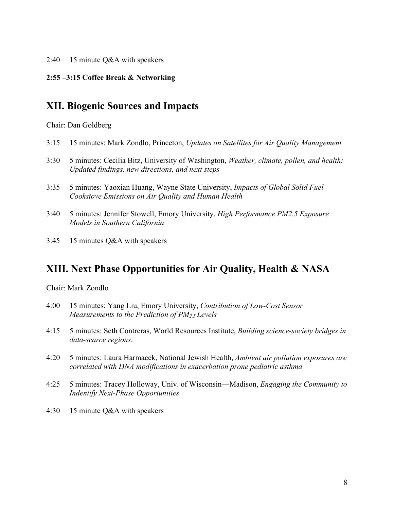### 2:40 15 minute Q&A with speakers

### **2:55 –3:15 Coffee Break & Networking**

### **XII. Biogenic Sources and Impacts**

Chair: Dan Goldberg

- 3:15 15 minutes: Mark Zondlo, Princeton, *Updates on Satellites for Air Quality Management*
- 3:30 5 minutes: Cecilia Bitz, University of Washington, *Weather, climate, pollen, and health: Updated findings, new directions, and next steps*
- 3:35 5 minutes: Yaoxian Huang, Wayne State University, *Impacts of Global Solid Fuel Cookstove Emissions on Air Quality and Human Health*
- 3:40 5 minutes: Jennifer Stowell, Emory University, *High Performance PM2.5 Exposure Models in Southern California*
- 3:45 15 minutes Q&A with speakers

## **XIII. Next Phase Opportunities for Air Quality, Health & NASA**

Chair: Mark Zondlo

- 4:00 15 minutes: Yang Liu, Emory University, *Contribution of Low-Cost Sensor Measurements to the Prediction of PM2.5 Levels*
- 4:15 5 minutes: Seth Contreras, World Resources Institute, *Building science-society bridges in data-scarce regions*.
- 4:20 5 minutes: Laura Harmacek, National Jewish Health, *Ambient air pollution exposures are correlated with DNA modifications in exacerbation prone pediatric asthma*
- 4:25 5 minutes: Tracey Holloway, Univ. of Wisconsin—Madison, *Engaging the Community to Indentify Next-Phase Opportunities*
- 4:30 15 minute Q&A with speakers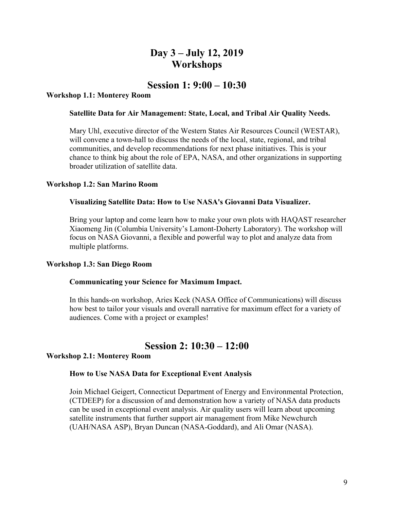## **Day 3 – July 12, 2019 Workshops**

### **Session 1: 9:00 – 10:30**

### **Workshop 1.1: Monterey Room**

#### **Satellite Data for Air Management: State, Local, and Tribal Air Quality Needs.**

Mary Uhl, executive director of the Western States Air Resources Council (WESTAR), will convene a town-hall to discuss the needs of the local, state, regional, and tribal communities, and develop recommendations for next phase initiatives. This is your chance to think big about the role of EPA, NASA, and other organizations in supporting broader utilization of satellite data.

#### **Workshop 1.2: San Marino Room**

### **Visualizing Satellite Data: How to Use NASA's Giovanni Data Visualizer.**

Bring your laptop and come learn how to make your own plots with HAQAST researcher Xiaomeng Jin (Columbia University's Lamont-Doherty Laboratory). The workshop will focus on NASA Giovanni, a flexible and powerful way to plot and analyze data from multiple platforms.

#### **Workshop 1.3: San Diego Room**

#### **Communicating your Science for Maximum Impact.**

In this hands-on workshop, Aries Keck (NASA Office of Communications) will discuss how best to tailor your visuals and overall narrative for maximum effect for a variety of audiences. Come with a project or examples!

### **Session 2: 10:30 – 12:00**

#### **Workshop 2.1: Monterey Room**

#### **How to Use NASA Data for Exceptional Event Analysis**

Join Michael Geigert, Connecticut Department of Energy and Environmental Protection, (CTDEEP) for a discussion of and demonstration how a variety of NASA data products can be used in exceptional event analysis. Air quality users will learn about upcoming satellite instruments that further support air management from Mike Newchurch (UAH/NASA ASP), Bryan Duncan (NASA-Goddard), and Ali Omar (NASA).